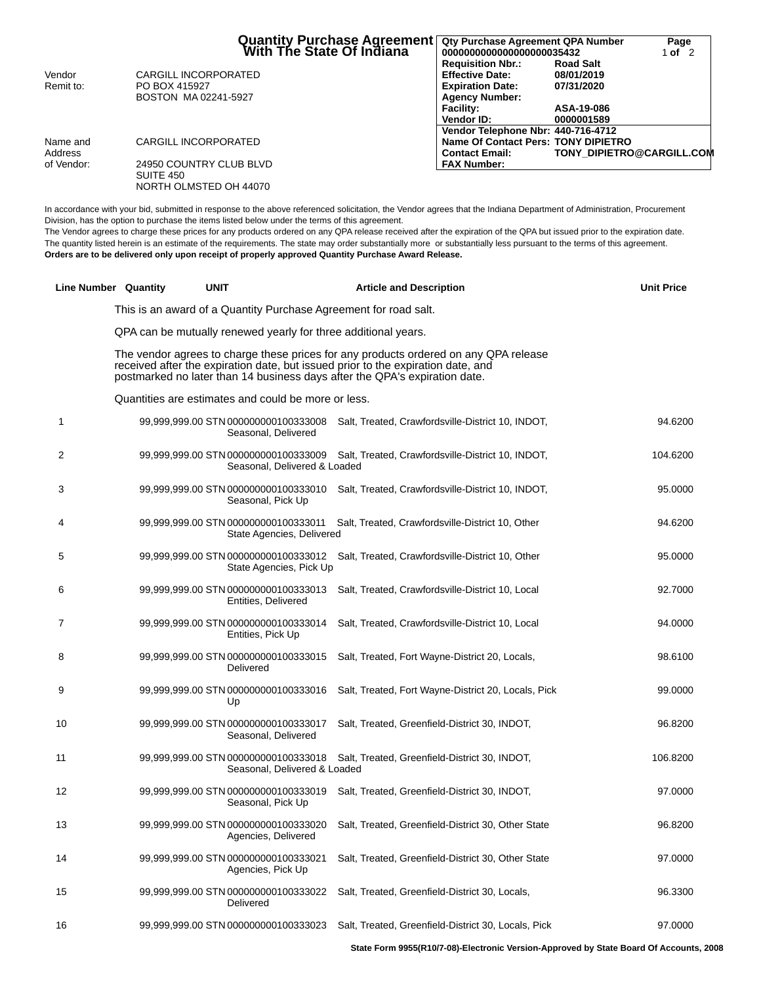|            |                         | <b>Quantity Purchase Agreement</b> [1994]<br>■ With The State Of Indiana<br>Qty Purchase Agreement QPA Number<br>0000000000000000000035432 |                                  |
|------------|-------------------------|--------------------------------------------------------------------------------------------------------------------------------------------|----------------------------------|
|            |                         | <b>Requisition Nbr.:</b>                                                                                                                   | <b>Road Salt</b>                 |
| Vendor     | CARGILL INCORPORATED    | <b>Effective Date:</b>                                                                                                                     | 08/01/2019                       |
| Remit to:  | PO BOX 415927           | <b>Expiration Date:</b>                                                                                                                    | 07/31/2020                       |
|            | BOSTON MA02241-5927     | <b>Agency Number:</b>                                                                                                                      |                                  |
|            |                         | <b>Facility:</b>                                                                                                                           | ASA-19-086                       |
|            |                         | <b>Vendor ID:</b>                                                                                                                          | 0000001589                       |
|            |                         | Vendor Telephone Nbr: 440-716-4712                                                                                                         |                                  |
| Name and   | CARGILL INCORPORATED    | Name Of Contact Pers: TONY DIPIETRO                                                                                                        |                                  |
| Address    |                         | <b>Contact Email:</b>                                                                                                                      | <b>TONY DIPIETRO@CARGILL.COM</b> |
| of Vendor: | 24950 COUNTRY CLUB BLVD | <b>FAX Number:</b>                                                                                                                         |                                  |
|            | SUITE 450               |                                                                                                                                            |                                  |
|            | NORTH OLMSTED OH 44070  |                                                                                                                                            |                                  |

In accordance with your bid, submitted in response to the above referenced solicitation, the Vendor agrees that the Indiana Department of Administration, Procurement Division, has the option to purchase the items listed below under the terms of this agreement.

The Vendor agrees to charge these prices for any products ordered on any QPA release received after the expiration of the QPA but issued prior to the expiration date. The quantity listed herein is an estimate of the requirements. The state may order substantially more or substantially less pursuant to the terms of this agreement. **Orders are to be delivered only upon receipt of properly approved Quantity Purchase Award Release.**

| <b>Line Number Quantity</b> | <b>UNIT</b>                                                                                                                                                                                                                                            |                              | <b>Article and Description</b>                      | <b>Unit Price</b> |
|-----------------------------|--------------------------------------------------------------------------------------------------------------------------------------------------------------------------------------------------------------------------------------------------------|------------------------------|-----------------------------------------------------|-------------------|
|                             | This is an award of a Quantity Purchase Agreement for road salt.                                                                                                                                                                                       |                              |                                                     |                   |
|                             | QPA can be mutually renewed yearly for three additional years.                                                                                                                                                                                         |                              |                                                     |                   |
|                             | The vendor agrees to charge these prices for any products ordered on any QPA release<br>received after the expiration date, but issued prior to the expiration date, and<br>postmarked no later than 14 business days after the QPA's expiration date. |                              |                                                     |                   |
|                             | Quantities are estimates and could be more or less.                                                                                                                                                                                                    |                              |                                                     |                   |
| 1                           | 99,999,999.00 STN 000000000100333008 Salt, Treated, Crawfordsville-District 10, INDOT,<br>Seasonal, Delivered                                                                                                                                          |                              |                                                     | 94.6200           |
| 2                           | 99,999,999.00 STN 000000000100333009                                                                                                                                                                                                                   | Seasonal, Delivered & Loaded | Salt, Treated, Crawfordsville-District 10, INDOT,   | 104.6200          |
| 3                           | 99,999,999.00 STN 000000000100333010 Salt, Treated, Crawfordsville-District 10, INDOT,<br>Seasonal, Pick Up                                                                                                                                            |                              |                                                     | 95.0000           |
| 4                           | 99,999,999.00 STN 000000000100333011 Salt, Treated, Crawfordsville-District 10, Other                                                                                                                                                                  | State Agencies, Delivered    |                                                     | 94.6200           |
| 5                           | 99,999,999.00 STN 000000000100333012                                                                                                                                                                                                                   | State Agencies, Pick Up      | Salt, Treated, Crawfordsville-District 10, Other    | 95.0000           |
| 6                           | 99,999,999.00 STN 000000000100333013<br>Entities, Delivered                                                                                                                                                                                            |                              | Salt, Treated, Crawfordsville-District 10, Local    | 92.7000           |
| 7                           | 99,999,999.00 STN 000000000100333014<br>Entities, Pick Up                                                                                                                                                                                              |                              | Salt, Treated, Crawfordsville-District 10, Local    | 94.0000           |
| 8                           | 99,999,999.00 STN 000000000100333015<br><b>Delivered</b>                                                                                                                                                                                               |                              | Salt, Treated, Fort Wayne-District 20, Locals,      | 98.6100           |
| 9                           | 99,999,999.00 STN 000000000100333016<br>Up                                                                                                                                                                                                             |                              | Salt, Treated, Fort Wayne-District 20, Locals, Pick | 99.0000           |
| 10                          | 99,999,999.00 STN 000000000100333017<br>Seasonal, Delivered                                                                                                                                                                                            |                              | Salt, Treated, Greenfield-District 30, INDOT,       | 96.8200           |
| 11                          | 99,999,999.00 STN 000000000100333018                                                                                                                                                                                                                   | Seasonal, Delivered & Loaded | Salt, Treated, Greenfield-District 30, INDOT,       | 106.8200          |
| 12                          | 99,999,999.00 STN 000000000100333019<br>Seasonal, Pick Up                                                                                                                                                                                              |                              | Salt, Treated, Greenfield-District 30, INDOT,       | 97.0000           |
| 13                          | 99,999,999.00 STN 000000000100333020<br>Agencies, Delivered                                                                                                                                                                                            |                              | Salt, Treated, Greenfield-District 30, Other State  | 96.8200           |
| 14                          | 99,999,999.00 STN 000000000100333021<br>Agencies, Pick Up                                                                                                                                                                                              |                              | Salt, Treated, Greenfield-District 30, Other State  | 97.0000           |
| 15                          | 99,999,999.00 STN 000000000100333022<br>Delivered                                                                                                                                                                                                      |                              | Salt, Treated, Greenfield-District 30, Locals,      | 96.3300           |
| 16                          | 99,999,999.00 STN 000000000100333023                                                                                                                                                                                                                   |                              | Salt, Treated, Greenfield-District 30, Locals, Pick | 97.0000           |
|                             |                                                                                                                                                                                                                                                        |                              |                                                     |                   |

**State Form 9955(R10/7-08)-Electronic Version-Approved by State Board Of Accounts, 2008**